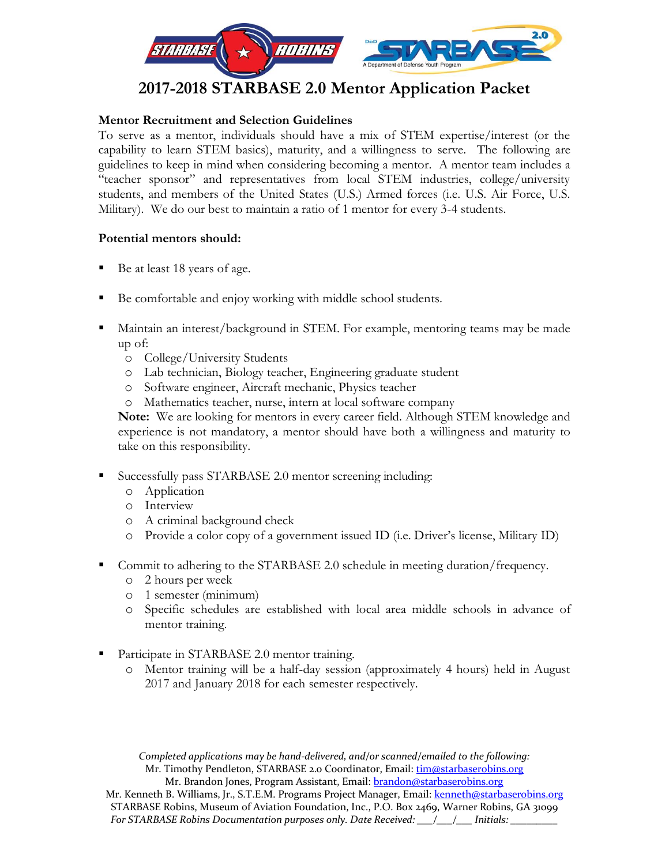

# **2017-2018 STARBASE 2.0 Mentor Application Packet**

# **Mentor Recruitment and Selection Guidelines**

To serve as a mentor, individuals should have a mix of STEM expertise/interest (or the capability to learn STEM basics), maturity, and a willingness to serve. The following are guidelines to keep in mind when considering becoming a mentor. A mentor team includes a "teacher sponsor" and representatives from local STEM industries, college/university students, and members of the United States (U.S.) Armed forces (i.e. U.S. Air Force, U.S. Military). We do our best to maintain a ratio of 1 mentor for every 3-4 students.

### **Potential mentors should:**

- Be at least 18 years of age.
- Be comfortable and enjoy working with middle school students.
- Maintain an interest/background in STEM. For example, mentoring teams may be made up of:
	- o College/University Students
	- o Lab technician, Biology teacher, Engineering graduate student
	- o Software engineer, Aircraft mechanic, Physics teacher
	- o Mathematics teacher, nurse, intern at local software company

**Note:** We are looking for mentors in every career field. Although STEM knowledge and experience is not mandatory, a mentor should have both a willingness and maturity to take on this responsibility.

- Successfully pass STARBASE 2.0 mentor screening including:
	- o Application
	- o Interview
	- o A criminal background check
	- o Provide a color copy of a government issued ID (i.e. Driver's license, Military ID)
- Commit to adhering to the STARBASE 2.0 schedule in meeting duration/frequency.
	- o 2 hours per week
	- o 1 semester (minimum)
	- o Specific schedules are established with local area middle schools in advance of mentor training.
- Participate in STARBASE 2.0 mentor training.
	- o Mentor training will be a half-day session (approximately 4 hours) held in August 2017 and January 2018 for each semester respectively.

*Completed applications may be hand-delivered, and/or scanned/emailed to the following:* Mr. Timothy Pendleton, STARBASE 2.0 Coordinator, Email: [tim@starbaserobins.org](mailto:tim@starbaserobins.org) Mr. Brandon Jones, Program Assistant, Email: [brandon@starbaserobins.org](mailto:brandon@starbaserobins.org)

Mr. Kenneth B. Williams, Jr., S.T.E.M. Programs Project Manager, Email[: kenneth@starbaserobins.org](mailto:kenneth@starbaserobins.org) STARBASE Robins, Museum of Aviation Foundation, Inc., P.O. Box 2469, Warner Robins, GA 31099 *For STARBASE Robins Documentation purposes only. Date Received: \_\_\_/\_\_\_/\_\_\_ Initials: \_\_\_\_\_\_\_\_\_*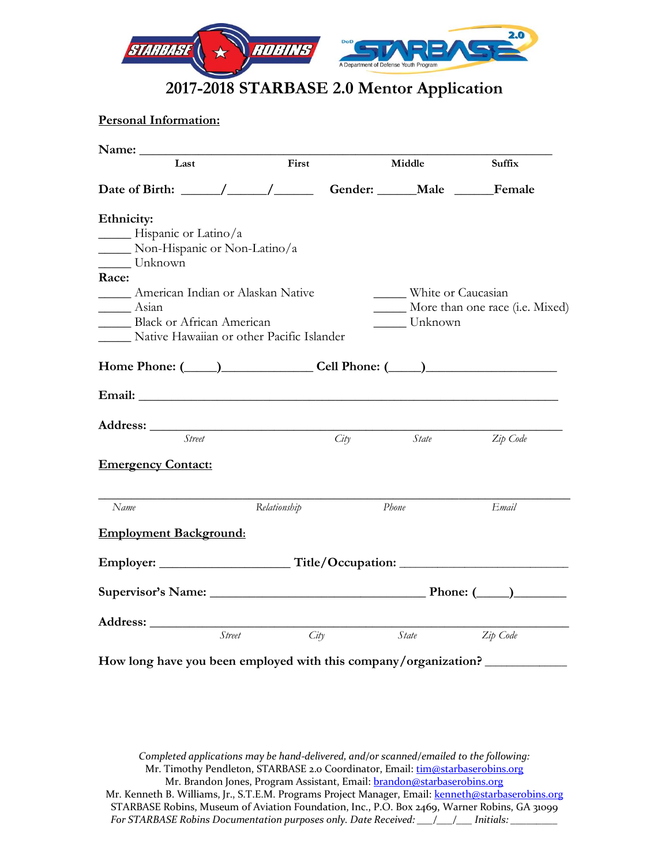

# **2017-2018 STARBASE 2.0 Mentor Application**

**Personal Information:**

| Last                                                                                        | First                 |      | Middle                             | Suffix                          |
|---------------------------------------------------------------------------------------------|-----------------------|------|------------------------------------|---------------------------------|
| Date of Birth: $\frac{1}{\sqrt{1-\frac{1}{2}}}\left  \frac{1}{\sqrt{1-\frac{1}{2}}}\right $ |                       |      | Gender: ______ Male _______ Female |                                 |
| Ethnicity:                                                                                  |                       |      |                                    |                                 |
| $\frac{1}{\sqrt{2}}$ Hispanic or Latino/a                                                   |                       |      |                                    |                                 |
| Non-Hispanic or Non-Latino/a                                                                |                       |      |                                    |                                 |
| Unknown                                                                                     |                       |      |                                    |                                 |
| Race:                                                                                       |                       |      |                                    |                                 |
| <b>Example 3</b> American Indian or Alaskan Native                                          |                       |      | _ White or Caucasian               |                                 |
| Asian                                                                                       |                       |      |                                    | More than one race (i.e. Mixed) |
| Black or African American                                                                   |                       |      | Unknown                            |                                 |
| Native Hawaiian or other Pacific Islander                                                   |                       |      |                                    |                                 |
|                                                                                             |                       |      |                                    |                                 |
|                                                                                             |                       |      |                                    |                                 |
|                                                                                             |                       |      |                                    |                                 |
|                                                                                             |                       |      |                                    |                                 |
| <b>Street</b>                                                                               |                       | City | State                              | Zip Code                        |
| <b>Emergency Contact:</b>                                                                   |                       |      |                                    |                                 |
| Name                                                                                        | Relationship          |      | Phone                              | Email                           |
| <b>Employment Background:</b>                                                               |                       |      |                                    |                                 |
|                                                                                             |                       |      |                                    |                                 |
|                                                                                             |                       |      |                                    |                                 |
|                                                                                             |                       |      |                                    |                                 |
|                                                                                             | City<br><i>Street</i> |      | State                              | Zip Code                        |
| How long have you been employed with this company/organization?                             |                       |      |                                    |                                 |

*Completed applications may be hand-delivered, and/or scanned/emailed to the following:* Mr. Timothy Pendleton, STARBASE 2.0 Coordinator, Email: [tim@starbaserobins.org](mailto:tim@starbaserobins.org) Mr. Brandon Jones, Program Assistant, Email: [brandon@starbaserobins.org](mailto:brandon@starbaserobins.org) Mr. Kenneth B. Williams, Jr., S.T.E.M. Programs Project Manager, Email[: kenneth@starbaserobins.org](mailto:kenneth@starbaserobins.org) STARBASE Robins, Museum of Aviation Foundation, Inc., P.O. Box 2469, Warner Robins, GA 31099 *For STARBASE Robins Documentation purposes only. Date Received: \_\_\_/\_\_\_/\_\_\_ Initials: \_\_\_\_\_\_\_\_\_*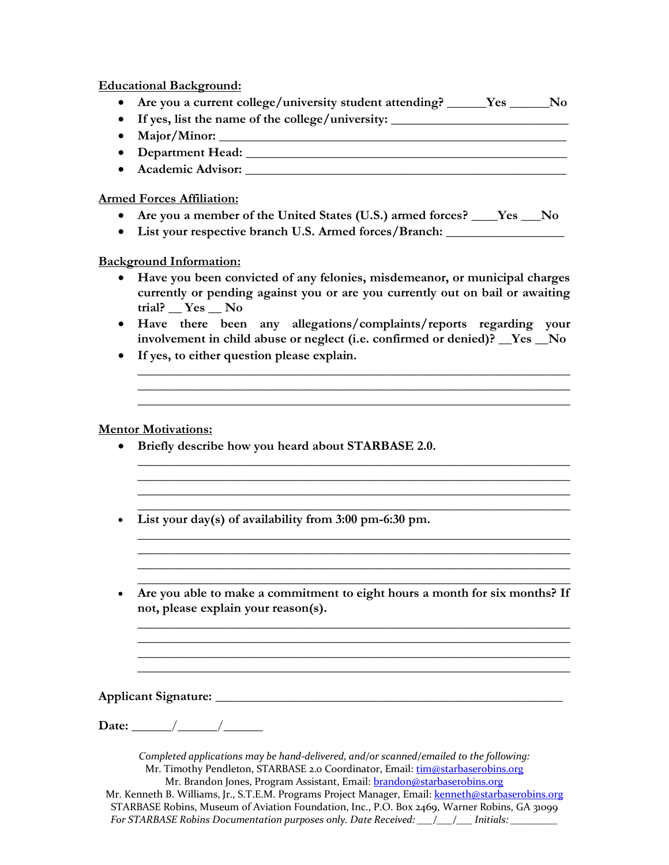**Educational Background:**

- **Are you a current college/university student attending? \_\_\_\_\_\_Yes \_\_\_\_\_\_No**
- If yes, list the name of the college/university:
- **Major/Minor: \_\_\_\_\_\_\_\_\_\_\_\_\_\_\_\_\_\_\_\_\_\_\_\_\_\_\_\_\_\_\_\_\_\_\_\_\_\_\_\_\_\_\_\_\_\_\_\_\_\_\_\_\_**
- **Department Head:**  $\blacksquare$
- **Academic Advisor: \_\_\_\_\_\_\_\_\_\_\_\_\_\_\_\_\_\_\_\_\_\_\_\_\_\_\_\_\_\_\_\_\_\_\_\_\_\_\_\_\_\_\_\_\_\_\_\_\_**

## **Armed Forces Affiliation:**

- **Are you a member of the United States (U.S.) armed forces? \_\_\_\_Yes \_\_\_No**
- **List your respective branch U.S. Armed forces/Branch: \_\_\_\_\_\_\_\_\_\_\_\_\_\_\_\_\_\_**

### **Background Information:**

- **Have you been convicted of any felonies, misdemeanor, or municipal charges currently or pending against you or are you currently out on bail or awaiting trial? \_\_ Yes \_\_ No**
- **Have there been any allegations/complaints/reports regarding your involvement in child abuse or neglect (i.e. confirmed or denied)? \_\_Yes \_\_No**

**\_\_\_\_\_\_\_\_\_\_\_\_\_\_\_\_\_\_\_\_\_\_\_\_\_\_\_\_\_\_\_\_\_\_\_\_\_\_**\_\_\_\_\_\_\_\_\_\_\_\_\_\_\_\_\_\_\_\_\_\_\_\_\_\_\_\_ \_\_\_\_\_\_\_\_\_\_\_\_\_\_\_\_\_\_\_\_\_\_\_\_\_\_\_\_\_\_\_\_\_\_\_\_\_\_\_\_\_\_\_\_\_\_\_\_\_\_\_\_\_\_\_\_\_\_\_\_\_\_\_\_\_\_ \_\_\_\_\_\_\_\_\_\_\_\_\_\_\_\_\_\_\_\_\_\_\_\_\_\_\_\_\_\_\_\_\_\_\_\_\_\_\_\_\_\_\_\_\_\_\_\_\_\_\_\_\_\_\_\_\_\_\_\_\_\_\_\_\_\_

**\_\_\_\_\_\_\_\_\_\_\_\_\_\_\_\_\_\_\_\_\_\_\_\_\_\_\_\_\_\_\_\_\_\_\_\_\_\_\_\_\_\_\_\_\_\_\_\_\_\_\_\_\_\_\_\_\_\_\_\_\_\_\_\_\_\_ \_\_\_\_\_\_\_\_\_\_\_\_\_\_\_\_\_\_\_\_\_\_\_\_\_\_\_\_\_\_\_\_\_\_\_\_\_\_\_\_\_\_\_\_\_\_\_\_\_\_\_\_\_\_\_\_\_\_\_\_\_\_\_\_\_\_**

**\_\_\_\_\_\_\_\_\_\_\_\_\_\_\_\_\_\_\_\_\_\_\_\_\_\_\_\_\_\_\_\_\_\_\_\_\_\_\_\_\_\_\_\_\_\_\_\_\_\_\_\_\_\_\_\_\_\_\_\_\_\_\_\_\_\_ \_\_\_\_\_\_\_\_\_\_\_\_\_\_\_\_\_\_\_\_\_\_\_\_\_\_\_\_\_\_\_\_\_\_\_\_\_\_\_\_\_\_\_\_\_\_\_\_\_\_\_\_\_\_\_\_\_\_\_\_\_\_\_\_\_\_ \_\_\_\_\_\_\_\_\_\_\_\_\_\_\_\_\_\_\_\_\_\_\_\_\_\_\_\_\_\_\_\_\_\_\_\_\_\_\_\_\_\_\_\_\_\_\_\_\_\_\_\_\_\_\_\_\_\_\_\_\_\_\_\_\_\_**

• **If yes, to either question please explain.** 

### **Mentor Motivations:**

- **Briefly describe how you heard about STARBASE 2.0.**
- **\_\_\_\_\_\_\_\_\_\_\_\_\_\_\_\_\_\_\_\_\_\_\_\_\_\_\_\_\_\_\_\_\_\_\_\_\_\_\_\_\_\_\_\_\_\_\_\_\_\_\_\_\_\_\_\_\_\_\_\_\_\_\_\_\_\_** • **List your day(s) of availability from 3:00 pm-6:30 pm.**
- **\_\_\_\_\_\_\_\_\_\_\_\_\_\_\_\_\_\_\_\_\_\_\_\_\_\_\_\_\_\_\_\_\_\_\_\_\_\_\_\_\_\_\_\_\_\_\_\_\_\_\_\_\_\_\_\_\_\_\_\_\_\_\_\_\_\_** • **Are you able to make a commitment to eight hours a month for six months? If not, please explain your reason(s).**

**\_\_\_\_\_\_\_\_\_\_\_\_\_\_\_\_\_\_\_\_\_\_\_\_\_\_\_\_\_\_\_\_\_\_\_\_\_\_\_\_\_\_\_\_\_\_\_\_\_\_\_\_\_\_\_\_\_\_\_\_\_\_\_\_\_\_ \_\_\_\_\_\_\_\_\_\_\_\_\_\_\_\_\_\_\_\_\_\_\_\_\_\_\_\_\_\_\_\_\_\_\_\_\_\_\_\_\_\_\_\_\_\_\_\_\_\_\_\_\_\_\_\_\_\_\_\_\_\_\_\_\_\_ \_\_\_\_\_\_\_\_\_\_\_\_\_\_\_\_\_\_\_\_\_\_\_\_\_\_\_\_\_\_\_\_\_\_\_\_\_\_\_\_\_\_\_\_\_\_\_\_\_\_\_\_\_\_\_\_\_\_\_\_\_\_\_\_\_\_ \_\_\_\_\_\_\_\_\_\_\_\_\_\_\_\_\_\_\_\_\_\_\_\_\_\_\_\_\_\_\_\_\_\_\_\_\_\_\_\_\_\_\_\_\_\_\_\_\_\_\_\_\_\_\_\_\_\_\_\_\_\_\_\_\_\_**

#### Applicant Signature:

**Date:** / /

*Completed applications may be hand-delivered, and/or scanned/emailed to the following:* Mr. Timothy Pendleton, STARBASE 2.0 Coordinator, Email: [tim@starbaserobins.org](mailto:tim@starbaserobins.org) Mr. Brandon Jones, Program Assistant, Email: [brandon@starbaserobins.org](mailto:brandon@starbaserobins.org) Mr. Kenneth B. Williams, Jr., S.T.E.M. Programs Project Manager, Email[: kenneth@starbaserobins.org](mailto:kenneth@starbaserobins.org) STARBASE Robins, Museum of Aviation Foundation, Inc., P.O. Box 2469, Warner Robins, GA 31099 *For STARBASE Robins Documentation purposes only. Date Received: \_\_\_/\_\_\_/\_\_\_ Initials: \_\_\_\_\_\_\_\_\_*